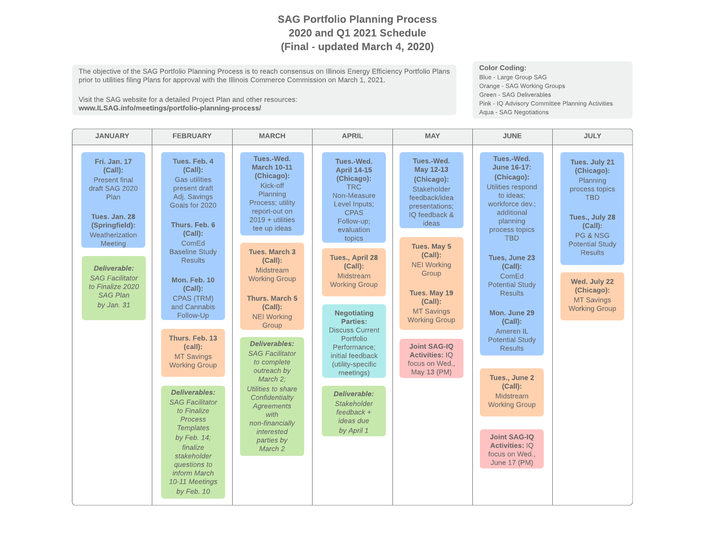## SAG Portfolio Planning Process 2020 and Q1 2021 Schedule (Final - updated March 4, 2020)

The objective of the SAG Portfolio Planning Process is to reach consensus on Illinois Energy Efficiency Portfolio Plans prior to utilities filing Plans for approval with the Illinois Commerce Commission on March 1, 2021.

Visit the SAG website for a detailed Project Plan and other resources: www.ILSAG.info/meetings/portfolio-planning-process/

Color Coding:

Blue - Large Group SAG Orange - SAG Working Groups Green - SAG Deliverables Pink - IQ Advisory Committee Planning Activities Aqua - SAG Negotiations

| <b>JANUARY</b>                                                                                                                                                                                                                                  | <b>FEBRUARY</b>                                                                                                                                                                                                                                                                                                                                                                                                                                                                                                                                              | <b>MARCH</b>                                                                                                                                                                                                                                                                                                                                                                                                                                                                                                        | <b>APRIL</b>                                                                                                                                                                                                                                                                                                                                                                                                                                                | <b>MAY</b>                                                                                                                                                                                                                                                                                                                           | <b>JUNE</b>                                                                                                                                                                                                                                                                                                                                                                                                                                                                             | <b>JULY</b>                                                                                                                                                                                                                             |
|-------------------------------------------------------------------------------------------------------------------------------------------------------------------------------------------------------------------------------------------------|--------------------------------------------------------------------------------------------------------------------------------------------------------------------------------------------------------------------------------------------------------------------------------------------------------------------------------------------------------------------------------------------------------------------------------------------------------------------------------------------------------------------------------------------------------------|---------------------------------------------------------------------------------------------------------------------------------------------------------------------------------------------------------------------------------------------------------------------------------------------------------------------------------------------------------------------------------------------------------------------------------------------------------------------------------------------------------------------|-------------------------------------------------------------------------------------------------------------------------------------------------------------------------------------------------------------------------------------------------------------------------------------------------------------------------------------------------------------------------------------------------------------------------------------------------------------|--------------------------------------------------------------------------------------------------------------------------------------------------------------------------------------------------------------------------------------------------------------------------------------------------------------------------------------|-----------------------------------------------------------------------------------------------------------------------------------------------------------------------------------------------------------------------------------------------------------------------------------------------------------------------------------------------------------------------------------------------------------------------------------------------------------------------------------------|-----------------------------------------------------------------------------------------------------------------------------------------------------------------------------------------------------------------------------------------|
| <b>Fri. Jan. 17</b><br>(Call):<br><b>Present final</b><br>draft SAG 2020<br>Plan<br>Tues. Jan. 28<br>(Springfield):<br>Weatherization<br>Meeting<br>Deliverable:<br><b>SAG Facilitator</b><br>to Finalize 2020<br><b>SAG Plan</b><br>by Jan. 31 | Tues, Feb. 4<br>$(Call)$ :<br><b>Gas utilities</b><br>present draft<br>Adj. Savings<br>Goals for 2020<br>Thurs, Feb. 6<br>(Call):<br>ComEd<br><b>Baseline Study</b><br><b>Results</b><br>Mon. Feb. 10<br>$(Call)$ :<br>CPAS (TRM)<br>and Cannabis<br>Follow-Up<br>Thurs, Feb. 13<br>(call):<br><b>MT Savings</b><br><b>Working Group</b><br><b>Deliverables:</b><br><b>SAG Facilitator</b><br>to Finalize<br><b>Process</b><br><b>Templates</b><br>by Feb. $14$ ;<br>finalize<br>stakeholder<br>questions to<br>inform March<br>10-11 Meetings<br>by Feb. 10 | Tues.-Wed.<br><b>March 10-11</b><br>(Chicago):<br>Kick-off<br>Planning<br>Process; utility<br>report-out on<br>$2019 + utilities$<br>tee up ideas<br><b>Tues. March 3</b><br>$(Call)$ :<br>Midstream<br><b>Working Group</b><br><b>Thurs. March 5</b><br>(Call):<br><b>NEI Working</b><br>Group<br>Deliverables:<br><b>SAG Facilitator</b><br>to complete<br>outreach by<br>March 2:<br>Utilities to share<br>Confidentialty<br><b>Agreements</b><br>with<br>non-financially<br>interested<br>parties by<br>March 2 | Tues.-Wed.<br><b>April 14-15</b><br>(Chicago):<br><b>TRC</b><br>Non-Measure<br>Level Inputs;<br><b>CPAS</b><br>Follow-up;<br>evaluation<br>topics<br>Tues., April 28<br>(Call):<br>Midstream<br><b>Working Group</b><br><b>Negotiating</b><br><b>Parties:</b><br><b>Discuss Current</b><br>Portfolio<br>Performance:<br>initial feedback<br>(utility-specific<br>meetings)<br>Deliverable:<br>Stakeholder<br>$feedback +$<br><i>ideas</i> due<br>by April 1 | Tues.-Wed.<br>May 12-13<br>(Chicago):<br>Stakeholder<br>feedback/idea<br>presentations;<br>IQ feedback &<br>ideas<br>Tues. May 5<br>(Call):<br><b>NEI Working</b><br>Group<br>Tues. May 19<br>$(Call)$ :<br><b>MT Savings</b><br><b>Working Group</b><br><b>Joint SAG-IO</b><br><b>Activities: IQ</b><br>focus on Wed<br>May 13 (PM) | Tues.-Wed.<br>June 16-17:<br>(Chicago):<br>Utilities respond<br>to ideas:<br>workforce dev.;<br>additional<br>planning<br>process topics<br><b>TBD</b><br>Tues, June 23<br>$(Call)$ :<br>ComEd<br><b>Potential Study</b><br><b>Results</b><br>Mon. June 29<br>$(Call)$ :<br>Ameren IL<br><b>Potential Study</b><br><b>Results</b><br>Tues., June 2<br>$(Call)$ :<br>Midstream<br><b>Working Group</b><br><b>Joint SAG-IO</b><br><b>Activities: IO</b><br>focus on Wed.,<br>June 17 (PM) | Tues. July 21<br>(Chicago):<br>Planning<br>process topics<br><b>TBD</b><br>Tues., July 28<br>(Call):<br>PG & NSG<br><b>Potential Study</b><br><b>Results</b><br>Wed. July 22<br>(Chicago):<br><b>MT Savings</b><br><b>Working Group</b> |